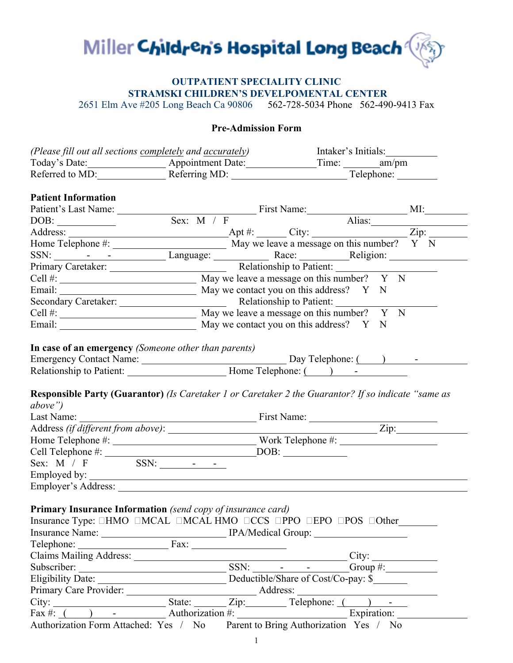

#### **OUTPATIENT SPECIALITY CLINIC STRAMSKI CHILDREN'S DEVELPOMENTAL CENTER**

2651 Elm Ave #205 Long Beach Ca 90806 562-728-5034 Phone 562-490-9413 Fax

### **Pre-Admission Form**

|                                       | (Please fill out all sections completely and accurately)                                                                                                                                                                       |                                                                                                                                                                                                                                                                                                                                                                                                                                                                                 | Intaker's Initials: |
|---------------------------------------|--------------------------------------------------------------------------------------------------------------------------------------------------------------------------------------------------------------------------------|---------------------------------------------------------------------------------------------------------------------------------------------------------------------------------------------------------------------------------------------------------------------------------------------------------------------------------------------------------------------------------------------------------------------------------------------------------------------------------|---------------------|
|                                       |                                                                                                                                                                                                                                |                                                                                                                                                                                                                                                                                                                                                                                                                                                                                 |                     |
|                                       | Referred to MD: Referring MD: Telephone: Telephone:                                                                                                                                                                            |                                                                                                                                                                                                                                                                                                                                                                                                                                                                                 |                     |
|                                       |                                                                                                                                                                                                                                |                                                                                                                                                                                                                                                                                                                                                                                                                                                                                 |                     |
| <b>Patient Information</b>            |                                                                                                                                                                                                                                |                                                                                                                                                                                                                                                                                                                                                                                                                                                                                 |                     |
|                                       |                                                                                                                                                                                                                                |                                                                                                                                                                                                                                                                                                                                                                                                                                                                                 |                     |
|                                       |                                                                                                                                                                                                                                |                                                                                                                                                                                                                                                                                                                                                                                                                                                                                 |                     |
|                                       |                                                                                                                                                                                                                                |                                                                                                                                                                                                                                                                                                                                                                                                                                                                                 |                     |
|                                       |                                                                                                                                                                                                                                |                                                                                                                                                                                                                                                                                                                                                                                                                                                                                 |                     |
|                                       |                                                                                                                                                                                                                                |                                                                                                                                                                                                                                                                                                                                                                                                                                                                                 |                     |
|                                       |                                                                                                                                                                                                                                |                                                                                                                                                                                                                                                                                                                                                                                                                                                                                 |                     |
|                                       |                                                                                                                                                                                                                                |                                                                                                                                                                                                                                                                                                                                                                                                                                                                                 |                     |
|                                       |                                                                                                                                                                                                                                |                                                                                                                                                                                                                                                                                                                                                                                                                                                                                 |                     |
|                                       |                                                                                                                                                                                                                                |                                                                                                                                                                                                                                                                                                                                                                                                                                                                                 |                     |
|                                       | Cell #: $\overline{\phantom{a}}$ May we leave a message on this number? Y N                                                                                                                                                    |                                                                                                                                                                                                                                                                                                                                                                                                                                                                                 |                     |
|                                       | Email: May we contact you on this address? Y N                                                                                                                                                                                 |                                                                                                                                                                                                                                                                                                                                                                                                                                                                                 |                     |
|                                       |                                                                                                                                                                                                                                |                                                                                                                                                                                                                                                                                                                                                                                                                                                                                 |                     |
|                                       | In case of an emergency (Someone other than parents)                                                                                                                                                                           |                                                                                                                                                                                                                                                                                                                                                                                                                                                                                 |                     |
|                                       |                                                                                                                                                                                                                                |                                                                                                                                                                                                                                                                                                                                                                                                                                                                                 |                     |
|                                       |                                                                                                                                                                                                                                |                                                                                                                                                                                                                                                                                                                                                                                                                                                                                 |                     |
|                                       |                                                                                                                                                                                                                                |                                                                                                                                                                                                                                                                                                                                                                                                                                                                                 |                     |
|                                       | <b>Responsible Party (Guarantor)</b> (Is Caretaker 1 or Caretaker 2 the Guarantor? If so indicate "same as                                                                                                                     |                                                                                                                                                                                                                                                                                                                                                                                                                                                                                 |                     |
| above")                               |                                                                                                                                                                                                                                |                                                                                                                                                                                                                                                                                                                                                                                                                                                                                 |                     |
| Last Name:                            |                                                                                                                                                                                                                                |                                                                                                                                                                                                                                                                                                                                                                                                                                                                                 |                     |
|                                       |                                                                                                                                                                                                                                | $\overline{\phantom{a}}$ $\overline{\phantom{a}}$ $\overline{\phantom{a}}$ $\overline{\phantom{a}}$ $\overline{\phantom{a}}$ $\overline{\phantom{a}}$ $\overline{\phantom{a}}$ $\overline{\phantom{a}}$ $\overline{\phantom{a}}$ $\overline{\phantom{a}}$ $\overline{\phantom{a}}$ $\overline{\phantom{a}}$ $\overline{\phantom{a}}$ $\overline{\phantom{a}}$ $\overline{\phantom{a}}$ $\overline{\phantom{a}}$ $\overline{\phantom{a}}$ $\overline{\phantom{a}}$ $\overline{\$ |                     |
|                                       |                                                                                                                                                                                                                                |                                                                                                                                                                                                                                                                                                                                                                                                                                                                                 |                     |
|                                       |                                                                                                                                                                                                                                |                                                                                                                                                                                                                                                                                                                                                                                                                                                                                 |                     |
|                                       |                                                                                                                                                                                                                                |                                                                                                                                                                                                                                                                                                                                                                                                                                                                                 |                     |
|                                       |                                                                                                                                                                                                                                |                                                                                                                                                                                                                                                                                                                                                                                                                                                                                 |                     |
|                                       | Employer's Address: Lawrence and Security and Security and Security and Security and Security and Security and Security and Security and Security and Security and Security and Security and Security and Security and Securit |                                                                                                                                                                                                                                                                                                                                                                                                                                                                                 |                     |
|                                       |                                                                                                                                                                                                                                |                                                                                                                                                                                                                                                                                                                                                                                                                                                                                 |                     |
|                                       | <b>Primary Insurance Information</b> (send copy of insurance card)                                                                                                                                                             |                                                                                                                                                                                                                                                                                                                                                                                                                                                                                 |                     |
|                                       | Insurance Type: $\Box$ HMO $\Box$ MCAL $\Box$ MCAL HMO $\Box$ CCS $\Box$ PPO $\Box$ EPO $\Box$ POS $\Box$ Other_____________                                                                                                   |                                                                                                                                                                                                                                                                                                                                                                                                                                                                                 |                     |
|                                       |                                                                                                                                                                                                                                |                                                                                                                                                                                                                                                                                                                                                                                                                                                                                 |                     |
|                                       |                                                                                                                                                                                                                                |                                                                                                                                                                                                                                                                                                                                                                                                                                                                                 |                     |
|                                       |                                                                                                                                                                                                                                |                                                                                                                                                                                                                                                                                                                                                                                                                                                                                 |                     |
|                                       | Subscriber: $\frac{\text{SSN:}}{\text{SSN:}}$ $\frac{\text{SSN:}}{\text{S}}$                                                                                                                                                   |                                                                                                                                                                                                                                                                                                                                                                                                                                                                                 |                     |
|                                       |                                                                                                                                                                                                                                |                                                                                                                                                                                                                                                                                                                                                                                                                                                                                 |                     |
|                                       | Eligibility Date: Deductible/Share of Cost/Co-pay: \$                                                                                                                                                                          |                                                                                                                                                                                                                                                                                                                                                                                                                                                                                 |                     |
|                                       |                                                                                                                                                                                                                                |                                                                                                                                                                                                                                                                                                                                                                                                                                                                                 |                     |
|                                       |                                                                                                                                                                                                                                |                                                                                                                                                                                                                                                                                                                                                                                                                                                                                 |                     |
|                                       |                                                                                                                                                                                                                                |                                                                                                                                                                                                                                                                                                                                                                                                                                                                                 |                     |
| Authorization Form Attached: Yes / No |                                                                                                                                                                                                                                | Parent to Bring Authorization Yes / No                                                                                                                                                                                                                                                                                                                                                                                                                                          |                     |

1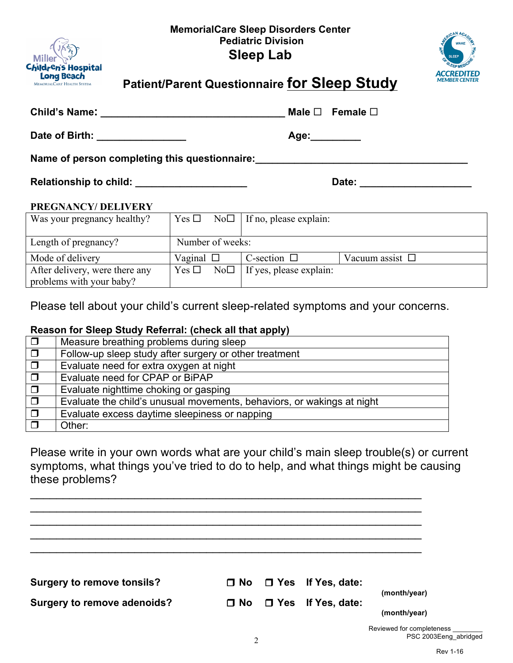|                                                                                                              |                                  |                  | Male $\square$ Female $\square$ |                                                                        |                                                                                                                                                                                                                                |
|--------------------------------------------------------------------------------------------------------------|----------------------------------|------------------|---------------------------------|------------------------------------------------------------------------|--------------------------------------------------------------------------------------------------------------------------------------------------------------------------------------------------------------------------------|
|                                                                                                              | Date of Birth: _________________ |                  | Age:_________                   |                                                                        |                                                                                                                                                                                                                                |
| Name of person completing this questionnaire:                                                                |                                  |                  |                                 |                                                                        |                                                                                                                                                                                                                                |
| Relationship to child: _____________________                                                                 |                                  |                  |                                 |                                                                        | Date: the contract of the contract of the contract of the contract of the contract of the contract of the contract of the contract of the contract of the contract of the contract of the contract of the contract of the cont |
| PREGNANCY/DELIVERY                                                                                           |                                  |                  |                                 |                                                                        |                                                                                                                                                                                                                                |
| Was your pregnancy healthy?                                                                                  |                                  |                  |                                 | Yes $\Box$ No $\Box$ If no, please explain:                            |                                                                                                                                                                                                                                |
| Length of pregnancy?                                                                                         |                                  | Number of weeks: |                                 |                                                                        |                                                                                                                                                                                                                                |
| Mode of delivery                                                                                             |                                  |                  |                                 | Vaginal $\Box$   C-section $\Box$   Vacuum assist $\Box$               |                                                                                                                                                                                                                                |
|                                                                                                              |                                  |                  |                                 |                                                                        |                                                                                                                                                                                                                                |
| After delivery, were there any<br>problems with your baby?                                                   |                                  |                  |                                 | Yes $\Box$ No $\Box$ If yes, please explain:                           |                                                                                                                                                                                                                                |
|                                                                                                              |                                  |                  |                                 |                                                                        | Please tell about your child's current sleep-related symptoms and your concerns.                                                                                                                                               |
| Measure breathing problems during sleep                                                                      |                                  |                  |                                 |                                                                        |                                                                                                                                                                                                                                |
|                                                                                                              |                                  |                  |                                 | Follow-up sleep study after surgery or other treatment                 |                                                                                                                                                                                                                                |
| Reason for Sleep Study Referral: (check all that apply)<br>$\Box$<br>Evaluate need for extra oxygen at night |                                  |                  |                                 |                                                                        | <u> 1989 - Johann Stein, mars an deutscher Stein († 1989)</u>                                                                                                                                                                  |
| Evaluate need for CPAP or BiPAP                                                                              |                                  |                  |                                 |                                                                        |                                                                                                                                                                                                                                |
| Evaluate nighttime choking or gasping                                                                        |                                  |                  |                                 |                                                                        |                                                                                                                                                                                                                                |
| alalalalalala<br>Evaluate excess daytime sleepiness or napping                                               |                                  |                  |                                 | Evaluate the child's unusual movements, behaviors, or wakings at night |                                                                                                                                                                                                                                |

Please write in your own words what are your child's main sleep trouble(s) or current symptoms, what things you've tried to do to help, and what things might be causing

these problems?  $\mathcal{L}_\text{max}$  , and the contract of the contract of the contract of the contract of the contract of the contract of the contract of the contract of the contract of the contract of the contract of the contract of the contr  $\mathcal{L}_\text{max}$  , and the contract of the contract of the contract of the contract of the contract of the contract of the contract of the contract of the contract of the contract of the contract of the contract of the contr  $\_$  ,  $\_$  ,  $\_$  ,  $\_$  ,  $\_$  ,  $\_$  ,  $\_$  ,  $\_$  ,  $\_$  ,  $\_$  ,  $\_$  ,  $\_$  ,  $\_$  ,  $\_$  ,  $\_$  ,  $\_$  ,  $\_$  ,  $\_$  ,  $\_$  ,  $\_$  $\mathcal{L}_\text{max}$  , and the contract of the contract of the contract of the contract of the contract of the contract of the contract of the contract of the contract of the contract of the contract of the contract of the contr  $\mathcal{L}_\text{max}$  , and the contract of the contract of the contract of the contract of the contract of the contract of the contract of the contract of the contract of the contract of the contract of the contract of the contr

| <b>Surgery to remove tonsils?</b>  |  | $\Box$ No $\Box$ Yes If Yes, date: |                              |
|------------------------------------|--|------------------------------------|------------------------------|
| <b>Surgery to remove adenoids?</b> |  | $\Box$ No $\Box$ Yes If Yes, date: | (month/year)<br>(month/year) |
|                                    |  |                                    |                              |

2

Reviewed for completeness \_\_\_\_\_\_\_\_ PSC 2003Eeng\_abridged

# **MemorialCare Sleep Disorders Center Pediatric Division**

**Sleep Lab**

**Mille** 

Children's Hospital **Long Beach** 

MEMORIALCARE HEALTH SYSTEM

**Patient/Parent Questionnaire for Sleep Study**

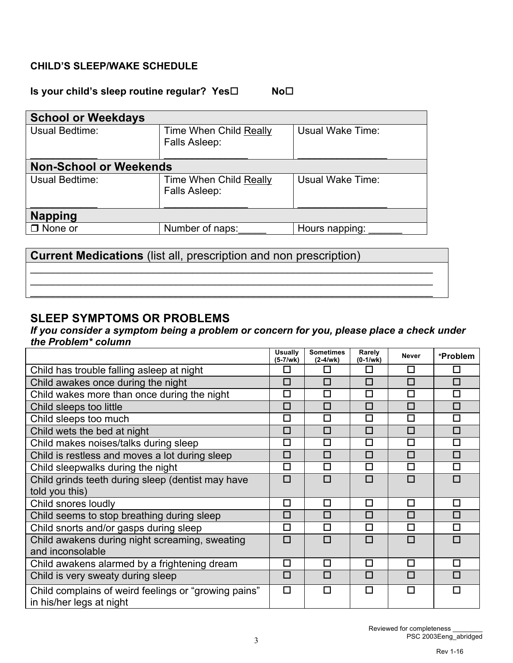## **CHILD'S SLEEP/WAKE SCHEDULE**

### **Is your child's sleep routine regular? Yes□** No<sup>□</sup>

| <b>Time When Child Really</b><br>Falls Asleep: | Usual Wake Time: |
|------------------------------------------------|------------------|
| <b>Non-School or Weekends</b>                  |                  |
| <b>Time When Child Really</b><br>Falls Asleep: | Usual Wake Time: |
|                                                |                  |
| Number of naps:                                | Hours napping:   |
|                                                |                  |

\_\_\_\_\_\_\_\_\_\_\_\_\_\_\_\_\_\_\_\_\_\_\_\_\_\_\_\_\_\_\_\_\_\_\_\_\_\_\_\_\_\_\_\_\_\_\_\_\_\_\_\_\_\_\_\_\_\_\_\_\_\_\_\_\_\_\_\_\_\_\_\_ \_\_\_\_\_\_\_\_\_\_\_\_\_\_\_\_\_\_\_\_\_\_\_\_\_\_\_\_\_\_\_\_\_\_\_\_\_\_\_\_\_\_\_\_\_\_\_\_\_\_\_\_\_\_\_\_\_\_\_\_\_\_\_\_\_\_\_\_\_\_\_\_ \_\_\_\_\_\_\_\_\_\_\_\_\_\_\_\_\_\_\_\_\_\_\_\_\_\_\_\_\_\_\_\_\_\_\_\_\_\_\_\_\_\_\_\_\_\_\_\_\_\_\_\_\_\_\_\_\_\_\_\_\_\_\_\_\_\_\_\_\_\_\_\_

**Current Medications** (list all, prescription and non prescription)

## **SLEEP SYMPTOMS OR PROBLEMS**

*If you consider a symptom being a problem or concern for you, please place a check under the Problem\* column* 

|                                                                                  | <b>Usually</b><br>$(5-7/wk)$ | <b>Sometimes</b><br>$(2-4/wk)$ | Rarely<br>$(0-1/wk)$ | <b>Never</b> | *Problem |
|----------------------------------------------------------------------------------|------------------------------|--------------------------------|----------------------|--------------|----------|
| Child has trouble falling asleep at night                                        | П                            | п                              | п                    | П            | п        |
| Child awakes once during the night                                               | П                            | п                              | П                    | П            | П        |
| Child wakes more than once during the night                                      | □                            | п                              | П                    | П            | П        |
| Child sleeps too little                                                          | П                            | п                              | П                    | П            | $\Box$   |
| Child sleeps too much                                                            | □                            | □                              | □                    | $\Box$       | $\Box$   |
| Child wets the bed at night                                                      | $\Box$                       | П                              | $\Box$               | П            | $\Box$   |
| Child makes noises/talks during sleep                                            | □                            | п                              | П                    | П            | □        |
| Child is restless and moves a lot during sleep                                   | $\Box$                       | $\Box$                         | $\Box$               | П            | $\Box$   |
| Child sleepwalks during the night                                                | $\Box$                       | $\Box$                         | □                    | $\Box$       | $\Box$   |
| Child grinds teeth during sleep (dentist may have                                | $\Box$                       | П                              | $\Box$               | П            | $\Box$   |
| told you this)                                                                   |                              |                                |                      |              |          |
| Child snores loudly                                                              | $\Box$                       | □                              | □                    | $\Box$       | □        |
| Child seems to stop breathing during sleep                                       | $\Box$                       | $\Box$                         | П                    | П            | $\Box$   |
| Child snorts and/or gasps during sleep                                           | □                            | п                              | П                    | п            | $\Box$   |
| Child awakens during night screaming, sweating                                   | $\Box$                       | П                              | П                    | П            | П        |
| and inconsolable                                                                 |                              |                                |                      |              |          |
| Child awakens alarmed by a frightening dream                                     | $\Box$                       | □                              | $\Box$               | П            | □        |
| Child is very sweaty during sleep                                                | □                            | $\Box$                         | п                    | п            | $\Box$   |
| Child complains of weird feelings or "growing pains"<br>in his/her legs at night | □                            | п                              | П                    | П            | П        |

Rev 1-16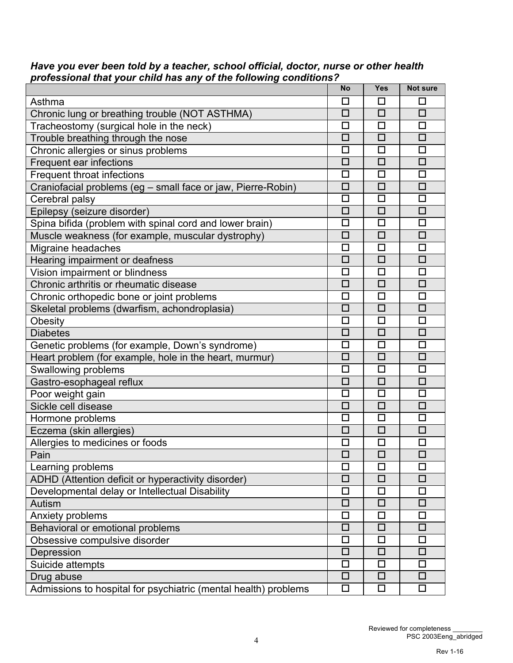|                                                                   |  | Have you ever been told by a teacher, school official, doctor, nurse or other health |  |
|-------------------------------------------------------------------|--|--------------------------------------------------------------------------------------|--|
| professional that your child has any of the following conditions? |  |                                                                                      |  |

|                                                                 | <b>No</b> | <b>Yes</b> | <b>Not sure</b> |
|-----------------------------------------------------------------|-----------|------------|-----------------|
| Asthma                                                          | ப         | ΙI         | H               |
| Chronic lung or breathing trouble (NOT ASTHMA)                  | $\Box$    | $\Box$     | $\Box$          |
| Tracheostomy (surgical hole in the neck)                        | □         | □          | □               |
| Trouble breathing through the nose                              | $\Box$    | $\Box$     | $\Box$          |
| Chronic allergies or sinus problems                             | $\Box$    | $\Box$     | $\Box$          |
| Frequent ear infections                                         | □         | $\Box$     | $\Box$          |
| Frequent throat infections                                      | $\Box$    | $\Box$     | $\Box$          |
| Craniofacial problems (eg - small face or jaw, Pierre-Robin)    | $\Box$    | $\Box$     | $\Box$          |
| Cerebral palsy                                                  | □         | □          | $\Box$          |
| Epilepsy (seizure disorder)                                     | □         | □          | $\Box$          |
| Spina bifida (problem with spinal cord and lower brain)         | □         | □          | □               |
| Muscle weakness (for example, muscular dystrophy)               | $\Box$    | $\Box$     | $\Box$          |
| Migraine headaches                                              | □         | □          | □               |
| Hearing impairment or deafness                                  | $\Box$    | $\Box$     | $\Box$          |
| Vision impairment or blindness                                  | □         | $\Box$     | $\Box$          |
| Chronic arthritis or rheumatic disease                          | $\Box$    | □          | □               |
| Chronic orthopedic bone or joint problems                       | □         | □          | $\Box$          |
| Skeletal problems (dwarfism, achondroplasia)                    | $\Box$    | $\Box$     | $\Box$          |
| Obesity                                                         | □         | □          | □               |
| <b>Diabetes</b>                                                 | $\Box$    | $\Box$     | $\Box$          |
| Genetic problems (for example, Down's syndrome)                 | $\Box$    | $\Box$     | $\Box$          |
| Heart problem (for example, hole in the heart, murmur)          | $\Box$    | $\Box$     | $\Box$          |
| Swallowing problems                                             | □         | □          | □               |
| Gastro-esophageal reflux                                        | $\Box$    | $\Box$     | $\Box$          |
| Poor weight gain                                                | □         | $\Box$     | $\Box$          |
| Sickle cell disease                                             | $\Box$    | $\Box$     | $\Box$          |
| Hormone problems                                                | $\Box$    | $\Box$     | $\Box$          |
| Eczema (skin allergies)                                         | $\Box$    | $\Box$     | $\Box$          |
| Allergies to medicines or foods                                 | □         | □          | □               |
| Pain                                                            | $\Box$    | $\Box$     | $\Box$          |
| Learning problems                                               | □         | □          | □               |
| ADHD (Attention deficit or hyperactivity disorder)              | $\Box$    | □          | $\Box$          |
| Developmental delay or Intellectual Disability                  | $\Box$    | $\Box$     | $\Box$          |
| Autism                                                          | $\Box$    | $\Box$     | $\Box$          |
| Anxiety problems                                                | $\Box$    | $\Box$     | $\Box$          |
| Behavioral or emotional problems                                | □         | □          | $\Box$          |
| Obsessive compulsive disorder                                   | □         | □          | $\Box$          |
| Depression                                                      | $\Box$    | $\Box$     | $\Box$          |
| Suicide attempts                                                | □         | $\Box$     | $\Box$          |
| Drug abuse                                                      | $\Box$    | $\Box$     | $\Box$          |
| Admissions to hospital for psychiatric (mental health) problems | $\Box$    | □          | $\Box$          |

Rev 1-16